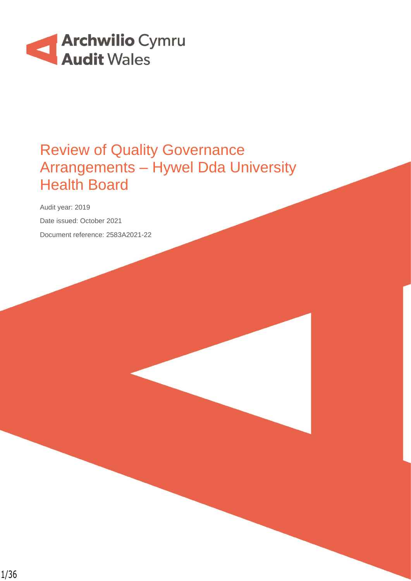

## Review of Quality Governance Arrangements – Hywel Dda University Health Board

Audit year: 2019 Date issued: October 2021 Document reference: 2583A2021-22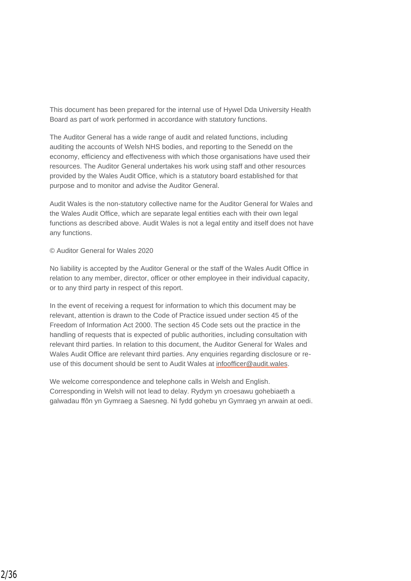This document has been prepared for the internal use of Hywel Dda University Health Board as part of work performed in accordance with statutory functions.

The Auditor General has a wide range of audit and related functions, including auditing the accounts of Welsh NHS bodies, and reporting to the Senedd on the economy, efficiency and effectiveness with which those organisations have used their resources. The Auditor General undertakes his work using staff and other resources provided by the Wales Audit Office, which is a statutory board established for that purpose and to monitor and advise the Auditor General.

Audit Wales is the non-statutory collective name for the Auditor General for Wales and the Wales Audit Office, which are separate legal entities each with their own legal functions as described above. Audit Wales is not a legal entity and itself does not have any functions.

#### © Auditor General for Wales 2020

No liability is accepted by the Auditor General or the staff of the Wales Audit Office in relation to any member, director, officer or other employee in their individual capacity, or to any third party in respect of this report.

In the event of receiving a request for information to which this document may be relevant, attention is drawn to the Code of Practice issued under section 45 of the Freedom of Information Act 2000. The section 45 Code sets out the practice in the handling of requests that is expected of public authorities, including consultation with relevant third parties. In relation to this document, the Auditor General for Wales and Wales Audit Office are relevant third parties. Any enquiries regarding disclosure or reuse of this document should be sent to Audit Wales at [infoofficer@audit.wales.](mailto:infoofficer@audit.wales)

We welcome correspondence and telephone calls in Welsh and English. Corresponding in Welsh will not lead to delay. Rydym yn croesawu gohebiaeth a galwadau ffôn yn Gymraeg a Saesneg. Ni fydd gohebu yn Gymraeg yn arwain at oedi.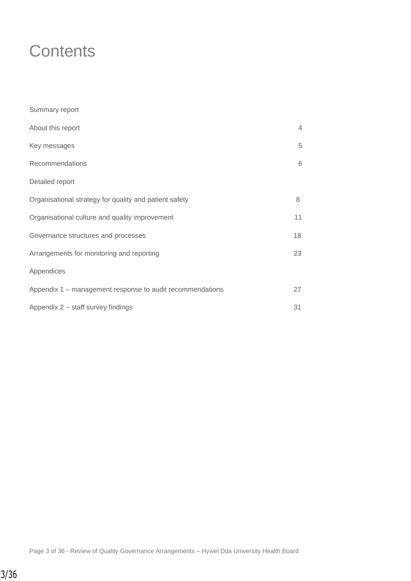## **Contents**

| Summary report                                            |                |
|-----------------------------------------------------------|----------------|
| About this report                                         | $\overline{4}$ |
| Key messages                                              | 5              |
| Recommendations                                           | 6              |
| Detailed report                                           |                |
| Organisational strategy for quality and patient safety    | 8              |
| Organisational culture and quality improvement            | 11             |
| Governance structures and processes                       | 18             |
| Arrangements for monitoring and reporting                 | 23             |
| Appendices                                                |                |
| Appendix 1 – management response to audit recommendations | 27             |
| Appendix 2 – staff survey findings                        | 31             |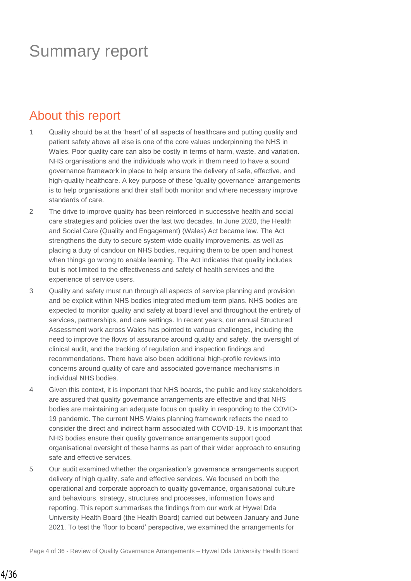## Summary report

### About this report

- 1 Quality should be at the 'heart' of all aspects of healthcare and putting quality and patient safety above all else is one of the core values underpinning the NHS in Wales. Poor quality care can also be costly in terms of harm, waste, and variation. NHS organisations and the individuals who work in them need to have a sound governance framework in place to help ensure the delivery of safe, effective, and high-quality healthcare. A key purpose of these 'quality governance' arrangements is to help organisations and their staff both monitor and where necessary improve standards of care.
- 2 The drive to improve quality has been reinforced in successive health and social care strategies and policies over the last two decades. In June 2020, the Health and Social Care (Quality and Engagement) (Wales) Act became law. The Act strengthens the duty to secure system-wide quality improvements, as well as placing a duty of candour on NHS bodies, requiring them to be open and honest when things go wrong to enable learning. The Act indicates that quality includes but is not limited to the effectiveness and safety of health services and the experience of service users.
- 3 Quality and safety must run through all aspects of service planning and provision and be explicit within NHS bodies integrated medium-term plans. NHS bodies are expected to monitor quality and safety at board level and throughout the entirety of services, partnerships, and care settings. In recent years, our annual Structured Assessment work across Wales has pointed to various challenges, including the need to improve the flows of assurance around quality and safety, the oversight of clinical audit, and the tracking of regulation and inspection findings and recommendations. There have also been additional high-profile reviews into concerns around quality of care and associated governance mechanisms in individual NHS bodies.
- 4 Given this context, it is important that NHS boards, the public and key stakeholders are assured that quality governance arrangements are effective and that NHS bodies are maintaining an adequate focus on quality in responding to the COVID-19 pandemic. The current NHS Wales planning framework reflects the need to consider the direct and indirect harm associated with COVID-19. It is important that NHS bodies ensure their quality governance arrangements support good organisational oversight of these harms as part of their wider approach to ensuring safe and effective services.
- 5 Our audit examined whether the organisation's governance arrangements support delivery of high quality, safe and effective services. We focused on both the operational and corporate approach to quality governance, organisational culture and behaviours, strategy, structures and processes, information flows and reporting. This report summarises the findings from our work at Hywel Dda University Health Board (the Health Board) carried out between January and June 2021. To test the 'floor to board' perspective, we examined the arrangements for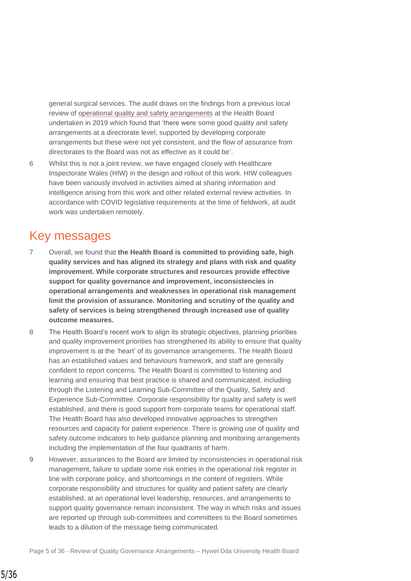general surgical services. The audit draws on the findings from a previous local review of [operational quality and safety arrangements](https://www.audit.wales/publication/hywel-dda-university-health-board-review-operational-quality-and-safety-arrangements) at the Health Board undertaken in 2019 which found that 'there were some good quality and safety arrangements at a directorate level, supported by developing corporate arrangements but these were not yet consistent, and the flow of assurance from directorates to the Board was not as effective as it could be'.

6 Whilst this is not a joint review, we have engaged closely with Healthcare Inspectorate Wales (HIW) in the design and rollout of this work. HIW colleagues have been variously involved in activities aimed at sharing information and intelligence arising from this work and other related external review activities. In accordance with COVID legislative requirements at the time of fieldwork, all audit work was undertaken remotely.

### Key messages

- 7 Overall, we found that **the Health Board is committed to providing safe, high quality services and has aligned its strategy and plans with risk and quality improvement. While corporate structures and resources provide effective support for quality governance and improvement, inconsistencies in operational arrangements and weaknesses in operational risk management limit the provision of assurance. Monitoring and scrutiny of the quality and safety of services is being strengthened through increased use of quality outcome measures.**
- 8 The Health Board's recent work to align its strategic objectives, planning priorities and quality improvement priorities has strengthened its ability to ensure that quality improvement is at the 'heart' of its governance arrangements. The Health Board has an established values and behaviours framework, and staff are generally confident to report concerns. The Health Board is committed to listening and learning and ensuring that best practice is shared and communicated, including through the Listening and Learning Sub-Committee of the Quality, Safety and Experience Sub-Committee. Corporate responsibility for quality and safety is well established, and there is good support from corporate teams for operational staff. The Health Board has also developed innovative approaches to strengthen resources and capacity for patient experience. There is growing use of quality and safety outcome indicators to help guidance planning and monitoring arrangements including the implementation of the four quadrants of harm.
- 9 However, assurances to the Board are limited by inconsistencies in operational risk management, failure to update some risk entries in the operational risk register in line with corporate policy, and shortcomings in the content of registers. While corporate responsibility and structures for quality and patient safety are clearly established, at an operational level leadership, resources, and arrangements to support quality governance remain inconsistent. The way in which risks and issues are reported up through sub-committees and committees to the Board sometimes leads to a dilution of the message being communicated.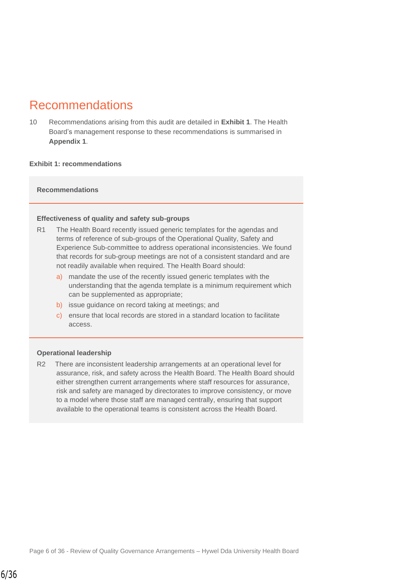### Recommendations

10 Recommendations arising from this audit are detailed in **Exhibit 1**. The Health Board's management response to these recommendations is summarised in **Appendix 1**.

#### **Exhibit 1: recommendations**

#### **Recommendations**

#### **Effectiveness of quality and safety sub-groups**

- R1 The Health Board recently issued generic templates for the agendas and terms of reference of sub-groups of the Operational Quality, Safety and Experience Sub-committee to address operational inconsistencies. We found that records for sub-group meetings are not of a consistent standard and are not readily available when required. The Health Board should:
	- a) mandate the use of the recently issued generic templates with the understanding that the agenda template is a minimum requirement which can be supplemented as appropriate;
	- b) issue guidance on record taking at meetings; and
	- c) ensure that local records are stored in a standard location to facilitate access.

#### **Operational leadership**

R2 There are inconsistent leadership arrangements at an operational level for assurance, risk, and safety across the Health Board. The Health Board should either strengthen current arrangements where staff resources for assurance, risk and safety are managed by directorates to improve consistency, or move to a model where those staff are managed centrally, ensuring that support available to the operational teams is consistent across the Health Board.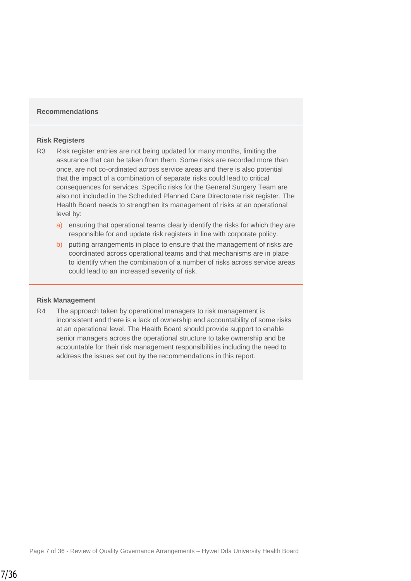#### **Recommendations**

#### **Risk Registers**

- R3 Risk register entries are not being updated for many months, limiting the assurance that can be taken from them. Some risks are recorded more than once, are not co-ordinated across service areas and there is also potential that the impact of a combination of separate risks could lead to critical consequences for services. Specific risks for the General Surgery Team are also not included in the Scheduled Planned Care Directorate risk register. The Health Board needs to strengthen its management of risks at an operational level by:
	- a) ensuring that operational teams clearly identify the risks for which they are responsible for and update risk registers in line with corporate policy.
	- b) putting arrangements in place to ensure that the management of risks are coordinated across operational teams and that mechanisms are in place to identify when the combination of a number of risks across service areas could lead to an increased severity of risk.

#### **Risk Management**

R4 The approach taken by operational managers to risk management is inconsistent and there is a lack of ownership and accountability of some risks at an operational level. The Health Board should provide support to enable senior managers across the operational structure to take ownership and be accountable for their risk management responsibilities including the need to address the issues set out by the recommendations in this report.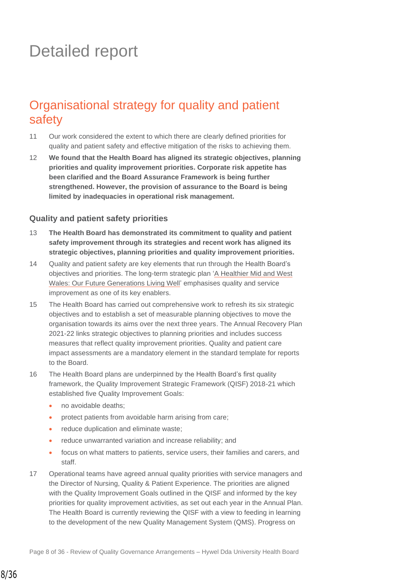# Detailed report

### Organisational strategy for quality and patient safety

- 11 Our work considered the extent to which there are clearly defined priorities for quality and patient safety and effective mitigation of the risks to achieving them.
- 12 **We found that the Health Board has aligned its strategic objectives, planning priorities and quality improvement priorities. Corporate risk appetite has been clarified and the Board Assurance Framework is being further strengthened. However, the provision of assurance to the Board is being limited by inadequacies in operational risk management.**

#### **Quality and patient safety priorities**

- 13 **The Health Board has demonstrated its commitment to quality and patient safety improvement through its strategies and recent work has aligned its strategic objectives, planning priorities and quality improvement priorities.**
- 14 Quality and patient safety are key elements that run through the Health Board's objectives and priorities. The long-term strategic plan 'A Healthier Mid and West Wales: [Our Future Generations Living Well'](http://www.wales.nhs.uk/sitesplus/documents/862/A%20Healthier%20Mid%20and%20West%20Wales%20FINAL%20amended%20-%2028.11.18.pdf) emphasises quality and service improvement as one of its key enablers.
- 15 The Health Board has carried out comprehensive work to refresh its six strategic objectives and to establish a set of measurable planning objectives to move the organisation towards its aims over the next three years. The Annual Recovery Plan 2021-22 links strategic objectives to planning priorities and includes success measures that reflect quality improvement priorities. Quality and patient care impact assessments are a mandatory element in the standard template for reports to the Board.
- 16 The Health Board plans are underpinned by the Health Board's first quality framework, the Quality Improvement Strategic Framework (QISF) 2018-21 which established five Quality Improvement Goals:
	- no avoidable deaths;
	- protect patients from avoidable harm arising from care;
	- reduce duplication and eliminate waste;
	- reduce unwarranted variation and increase reliability; and
	- focus on what matters to patients, service users, their families and carers, and staff.
- 17 Operational teams have agreed annual quality priorities with service managers and the Director of Nursing, Quality & Patient Experience. The priorities are aligned with the Quality Improvement Goals outlined in the QISF and informed by the key priorities for quality improvement activities, as set out each year in the Annual Plan. The Health Board is currently reviewing the QISF with a view to feeding in learning to the development of the new Quality Management System (QMS). Progress on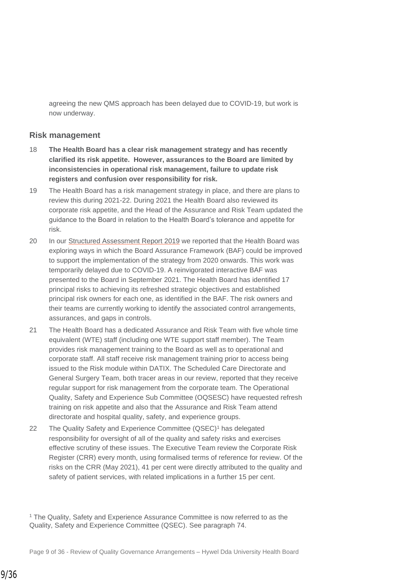agreeing the new QMS approach has been delayed due to COVID-19, but work is now underway.

#### **Risk management**

- 18 **The Health Board has a clear risk management strategy and has recently clarified its risk appetite. However, assurances to the Board are limited by inconsistencies in operational risk management, failure to update risk registers and confusion over responsibility for risk.**
- 19 The Health Board has a risk management strategy in place, and there are plans to review this during 2021-22. During 2021 the Health Board also reviewed its corporate risk appetite, and the Head of the Assurance and Risk Team updated the guidance to the Board in relation to the Health Board's tolerance and appetite for risk.
- 20 In our [Structured Assessment Report 2019](https://www.audit.wales/sites/default/files/pdf_27_11.pdf) we reported that the Health Board was exploring ways in which the Board Assurance Framework (BAF) could be improved to support the implementation of the strategy from 2020 onwards. This work was temporarily delayed due to COVID-19. A reinvigorated interactive BAF was presented to the Board in September 2021. The Health Board has identified 17 principal risks to achieving its refreshed strategic objectives and established principal risk owners for each one, as identified in the BAF. The risk owners and their teams are currently working to identify the associated control arrangements, assurances, and gaps in controls.
- 21 The Health Board has a dedicated Assurance and Risk Team with five whole time equivalent (WTE) staff (including one WTE support staff member). The Team provides risk management training to the Board as well as to operational and corporate staff. All staff receive risk management training prior to access being issued to the Risk module within DATIX. The Scheduled Care Directorate and General Surgery Team, both tracer areas in our review, reported that they receive regular support for risk management from the corporate team. The Operational Quality, Safety and Experience Sub Committee (OQSESC) have requested refresh training on risk appetite and also that the Assurance and Risk Team attend directorate and hospital quality, safety, and experience groups.
- 22 The Quality Safety and Experience Committee (QSEC)<sup>1</sup> has delegated responsibility for oversight of all of the quality and safety risks and exercises effective scrutiny of these issues. The Executive Team review the Corporate Risk Register (CRR) every month, using formalised terms of reference for review. Of the risks on the CRR (May 2021), 41 per cent were directly attributed to the quality and safety of patient services, with related implications in a further 15 per cent.

<sup>1</sup> The Quality, Safety and Experience Assurance Committee is now referred to as the Quality, Safety and Experience Committee (QSEC). See paragraph 74.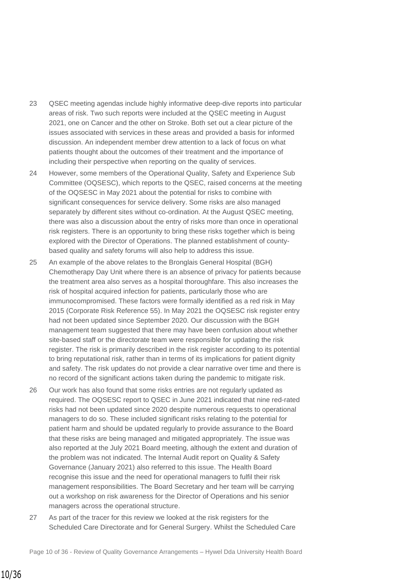- 23 QSEC meeting agendas include highly informative deep-dive reports into particular areas of risk. Two such reports were included at the QSEC meeting in August 2021, one on Cancer and the other on Stroke. Both set out a clear picture of the issues associated with services in these areas and provided a basis for informed discussion. An independent member drew attention to a lack of focus on what patients thought about the outcomes of their treatment and the importance of including their perspective when reporting on the quality of services.
- 24 However, some members of the Operational Quality, Safety and Experience Sub Committee (OQSESC), which reports to the QSEC, raised concerns at the meeting of the OQSESC in May 2021 about the potential for risks to combine with significant consequences for service delivery. Some risks are also managed separately by different sites without co-ordination. At the August QSEC meeting, there was also a discussion about the entry of risks more than once in operational risk registers. There is an opportunity to bring these risks together which is being explored with the Director of Operations. The planned establishment of countybased quality and safety forums will also help to address this issue.
- 25 An example of the above relates to the Bronglais General Hospital (BGH) Chemotherapy Day Unit where there is an absence of privacy for patients because the treatment area also serves as a hospital thoroughfare. This also increases the risk of hospital acquired infection for patients, particularly those who are immunocompromised. These factors were formally identified as a red risk in May 2015 (Corporate Risk Reference 55). In May 2021 the OQSESC risk register entry had not been updated since September 2020. Our discussion with the BGH management team suggested that there may have been confusion about whether site-based staff or the directorate team were responsible for updating the risk register. The risk is primarily described in the risk register according to its potential to bring reputational risk, rather than in terms of its implications for patient dignity and safety. The risk updates do not provide a clear narrative over time and there is no record of the significant actions taken during the pandemic to mitigate risk.
- 26 Our work has also found that some risks entries are not regularly updated as required. The OQSESC report to QSEC in June 2021 indicated that nine red-rated risks had not been updated since 2020 despite numerous requests to operational managers to do so. These included significant risks relating to the potential for patient harm and should be updated regularly to provide assurance to the Board that these risks are being managed and mitigated appropriately. The issue was also reported at the July 2021 Board meeting, although the extent and duration of the problem was not indicated. The Internal Audit report on Quality & Safety Governance (January 2021) also referred to this issue. The Health Board recognise this issue and the need for operational managers to fulfil their risk management responsibilities. The Board Secretary and her team will be carrying out a workshop on risk awareness for the Director of Operations and his senior managers across the operational structure.
- 27 As part of the tracer for this review we looked at the risk registers for the Scheduled Care Directorate and for General Surgery. Whilst the Scheduled Care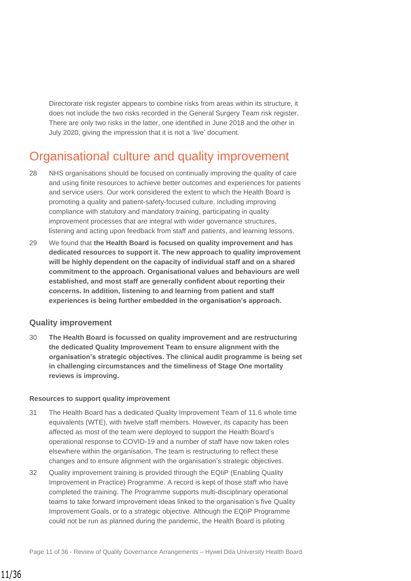Directorate risk register appears to combine risks from areas within its structure, it does not include the two risks recorded in the General Surgery Team risk register. There are only two risks in the latter, one identified in June 2018 and the other in July 2020, giving the impression that it is not a 'live' document.

### Organisational culture and quality improvement

- 28 NHS organisations should be focused on continually improving the quality of care and using finite resources to achieve better outcomes and experiences for patients and service users. Our work considered the extent to which the Health Board is promoting a quality and patient-safety-focused culture, including improving compliance with statutory and mandatory training, participating in quality improvement processes that are integral with wider governance structures, listening and acting upon feedback from staff and patients, and learning lessons.
- 29 We found that **the Health Board is focused on quality improvement and has dedicated resources to support it. The new approach to quality improvement will be highly dependent on the capacity of individual staff and on a shared commitment to the approach. Organisational values and behaviours are well established, and most staff are generally confident about reporting their concerns. In addition, listening to and learning from patient and staff experiences is being further embedded in the organisation's approach.**

#### **Quality improvement**

30 **The Health Board is focussed on quality improvement and are restructuring the dedicated Quality Improvement Team to ensure alignment with the organisation's strategic objectives. The clinical audit programme is being set in challenging circumstances and the timeliness of Stage One mortality reviews is improving.** 

#### **Resources to support quality improvement**

- 31 The Health Board has a dedicated Quality Improvement Team of 11.6 whole time equivalents (WTE), with twelve staff members. However, its capacity has been affected as most of the team were deployed to support the Health Board's operational response to COVID-19 and a number of staff have now taken roles elsewhere within the organisation. The team is restructuring to reflect these changes and to ensure alignment with the organisation's strategic objectives.
- 32 Quality improvement training is provided through the EQIiP (Enabling Quality Improvement in Practice) Programme. A record is kept of those staff who have completed the training. The Programme supports multi-disciplinary operational teams to take forward improvement ideas linked to the organisation's five Quality Improvement Goals, or to a strategic objective. Although the EQIiP Programme could not be run as planned during the pandemic, the Health Board is piloting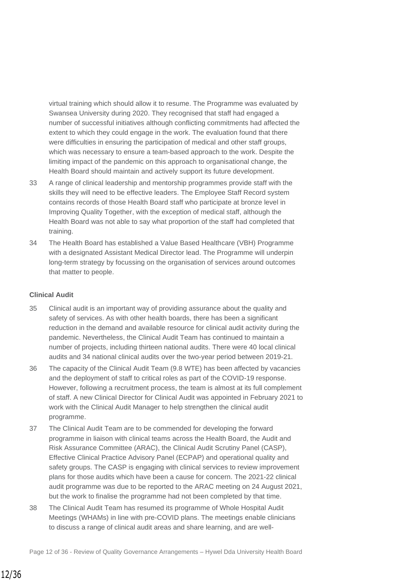virtual training which should allow it to resume. The Programme was evaluated by Swansea University during 2020. They recognised that staff had engaged a number of successful initiatives although conflicting commitments had affected the extent to which they could engage in the work. The evaluation found that there were difficulties in ensuring the participation of medical and other staff groups, which was necessary to ensure a team-based approach to the work. Despite the limiting impact of the pandemic on this approach to organisational change, the Health Board should maintain and actively support its future development.

- 33 A range of clinical leadership and mentorship programmes provide staff with the skills they will need to be effective leaders. The Employee Staff Record system contains records of those Health Board staff who participate at bronze level in Improving Quality Together, with the exception of medical staff, although the Health Board was not able to say what proportion of the staff had completed that training.
- 34 The Health Board has established a Value Based Healthcare (VBH) Programme with a designated Assistant Medical Director lead. The Programme will underpin long-term strategy by focussing on the organisation of services around outcomes that matter to people.

#### **Clinical Audit**

- 35 Clinical audit is an important way of providing assurance about the quality and safety of services. As with other health boards, there has been a significant reduction in the demand and available resource for clinical audit activity during the pandemic. Nevertheless, the Clinical Audit Team has continued to maintain a number of projects, including thirteen national audits. There were 40 local clinical audits and 34 national clinical audits over the two-year period between 2019-21.
- 36 The capacity of the Clinical Audit Team (9.8 WTE) has been affected by vacancies and the deployment of staff to critical roles as part of the COVID-19 response. However, following a recruitment process, the team is almost at its full complement of staff. A new Clinical Director for Clinical Audit was appointed in February 2021 to work with the Clinical Audit Manager to help strengthen the clinical audit programme.
- 37 The Clinical Audit Team are to be commended for developing the forward programme in liaison with clinical teams across the Health Board, the Audit and Risk Assurance Committee (ARAC), the Clinical Audit Scrutiny Panel (CASP), Effective Clinical Practice Advisory Panel (ECPAP) and operational quality and safety groups. The CASP is engaging with clinical services to review improvement plans for those audits which have been a cause for concern. The 2021-22 clinical audit programme was due to be reported to the ARAC meeting on 24 August 2021, but the work to finalise the programme had not been completed by that time.
- 38 The Clinical Audit Team has resumed its programme of Whole Hospital Audit Meetings (WHAMs) in line with pre-COVID plans. The meetings enable clinicians to discuss a range of clinical audit areas and share learning, and are well-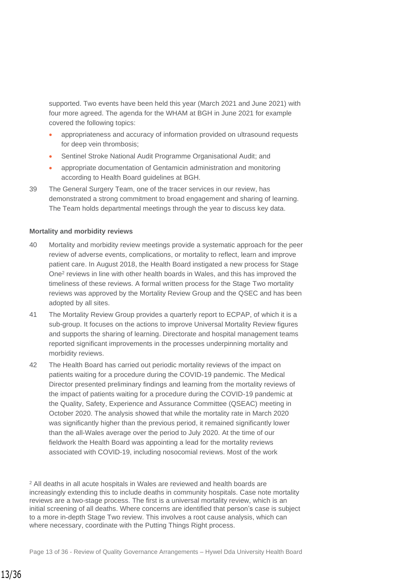supported. Two events have been held this year (March 2021 and June 2021) with four more agreed. The agenda for the WHAM at BGH in June 2021 for example covered the following topics:

- appropriateness and accuracy of information provided on ultrasound requests for deep vein thrombosis;
- Sentinel Stroke National Audit Programme Organisational Audit; and
- appropriate documentation of Gentamicin administration and monitoring according to Health Board guidelines at BGH.
- 39 The General Surgery Team, one of the tracer services in our review, has demonstrated a strong commitment to broad engagement and sharing of learning. The Team holds departmental meetings through the year to discuss key data.

#### **Mortality and morbidity reviews**

- 40 Mortality and morbidity review meetings provide a systematic approach for the peer review of adverse events, complications, or mortality to reflect, learn and improve patient care. In August 2018, the Health Board instigated a new process for Stage One<sup>2</sup> reviews in line with other health boards in Wales, and this has improved the timeliness of these reviews. A formal written process for the Stage Two mortality reviews was approved by the Mortality Review Group and the QSEC and has been adopted by all sites.
- 41 The Mortality Review Group provides a quarterly report to ECPAP, of which it is a sub-group. It focuses on the actions to improve Universal Mortality Review figures and supports the sharing of learning. Directorate and hospital management teams reported significant improvements in the processes underpinning mortality and morbidity reviews.
- 42 The Health Board has carried out periodic mortality reviews of the impact on patients waiting for a procedure during the COVID-19 pandemic. The Medical Director presented preliminary findings and learning from the mortality reviews of the impact of patients waiting for a procedure during the COVID-19 pandemic at the Quality, Safety, Experience and Assurance Committee (QSEAC) meeting in October 2020. The analysis showed that while the mortality rate in March 2020 was significantly higher than the previous period, it remained significantly lower than the all-Wales average over the period to July 2020. At the time of our fieldwork the Health Board was appointing a lead for the mortality reviews associated with COVID-19, including nosocomial reviews. Most of the work

<sup>2</sup> All deaths in all acute hospitals in Wales are reviewed and health boards are increasingly extending this to include deaths in community hospitals. Case note mortality reviews are a two-stage process. The first is a universal mortality review, which is an initial screening of all deaths. Where concerns are identified that person's case is subject to a more in-depth Stage Two review. This involves a root cause analysis, which can where necessary, coordinate with the Putting Things Right process.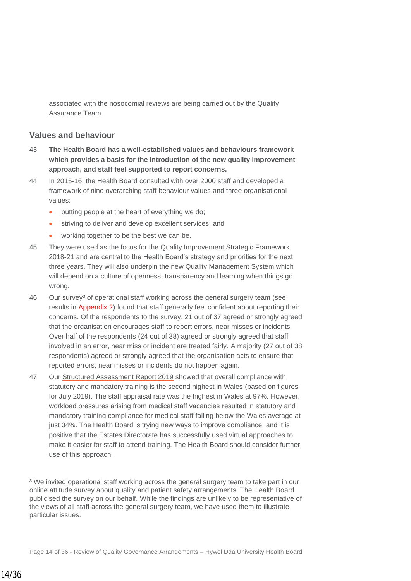associated with the nosocomial reviews are being carried out by the Quality Assurance Team.

#### **Values and behaviour**

- 43 **The Health Board has a well-established values and behaviours framework which provides a basis for the introduction of the new quality improvement approach, and staff feel supported to report concerns.**
- 44 In 2015-16, the Health Board consulted with over 2000 staff and developed a framework of nine overarching staff behaviour values and three organisational values:
	- putting people at the heart of everything we do;
	- striving to deliver and develop excellent services; and
	- working together to be the best we can be.
- 45 They were used as the focus for the Quality Improvement Strategic Framework 2018-21 and are central to the Health Board's strategy and priorities for the next three years. They will also underpin the new Quality Management System which will depend on a culture of openness, transparency and learning when things go wrong.
- 46 Our survey<sup>3</sup> of operational staff working across the general surgery team (see results in Appendix 2) found that staff generally feel confident about reporting their concerns. Of the respondents to the survey, 21 out of 37 agreed or strongly agreed that the organisation encourages staff to report errors, near misses or incidents. Over half of the respondents (24 out of 38) agreed or strongly agreed that staff involved in an error, near miss or incident are treated fairly. A majority (27 out of 38 respondents) agreed or strongly agreed that the organisation acts to ensure that reported errors, near misses or incidents do not happen again.
- 47 Our [Structured Assessment Report 2019](https://www.audit.wales/sites/default/files/pdf_27_11.pdf) showed that overall compliance with statutory and mandatory training is the second highest in Wales (based on figures for July 2019). The staff appraisal rate was the highest in Wales at 97%. However, workload pressures arising from medical staff vacancies resulted in statutory and mandatory training compliance for medical staff falling below the Wales average at just 34%. The Health Board is trying new ways to improve compliance, and it is positive that the Estates Directorate has successfully used virtual approaches to make it easier for staff to attend training. The Health Board should consider further use of this approach.

<sup>3</sup> We invited operational staff working across the general surgery team to take part in our online attitude survey about quality and patient safety arrangements. The Health Board publicised the survey on our behalf. While the findings are unlikely to be representative of the views of all staff across the general surgery team, we have used them to illustrate particular issues.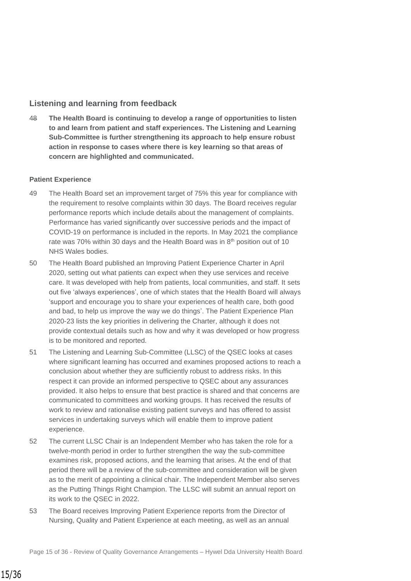#### **Listening and learning from feedback**

48 **The Health Board is continuing to develop a range of opportunities to listen to and learn from patient and staff experiences. The Listening and Learning Sub-Committee is further strengthening its approach to help ensure robust action in response to cases where there is key learning so that areas of concern are highlighted and communicated.**

#### **Patient Experience**

- 49 The Health Board set an improvement target of 75% this year for compliance with the requirement to resolve complaints within 30 days. The Board receives regular performance reports which include details about the management of complaints. Performance has varied significantly over successive periods and the impact of COVID-19 on performance is included in the reports. In May 2021 the compliance rate was 70% within 30 days and the Health Board was in 8th position out of 10 NHS Wales bodies.
- 50 The Health Board published an Improving Patient Experience Charter in April 2020, setting out what patients can expect when they use services and receive care. It was developed with help from patients, local communities, and staff. It sets out five 'always experiences', one of which states that the Health Board will always 'support and encourage you to share your experiences of health care, both good and bad, to help us improve the way we do things'. The Patient Experience Plan 2020-23 lists the key priorities in delivering the Charter, although it does not provide contextual details such as how and why it was developed or how progress is to be monitored and reported.
- 51 The Listening and Learning Sub-Committee (LLSC) of the QSEC looks at cases where significant learning has occurred and examines proposed actions to reach a conclusion about whether they are sufficiently robust to address risks. In this respect it can provide an informed perspective to QSEC about any assurances provided. It also helps to ensure that best practice is shared and that concerns are communicated to committees and working groups. It has received the results of work to review and rationalise existing patient surveys and has offered to assist services in undertaking surveys which will enable them to improve patient experience.
- 52 The current LLSC Chair is an Independent Member who has taken the role for a twelve-month period in order to further strengthen the way the sub-committee examines risk, proposed actions, and the learning that arises. At the end of that period there will be a review of the sub-committee and consideration will be given as to the merit of appointing a clinical chair. The Independent Member also serves as the Putting Things Right Champion. The LLSC will submit an annual report on its work to the QSEC in 2022.
- 53 The Board receives Improving Patient Experience reports from the Director of Nursing, Quality and Patient Experience at each meeting, as well as an annual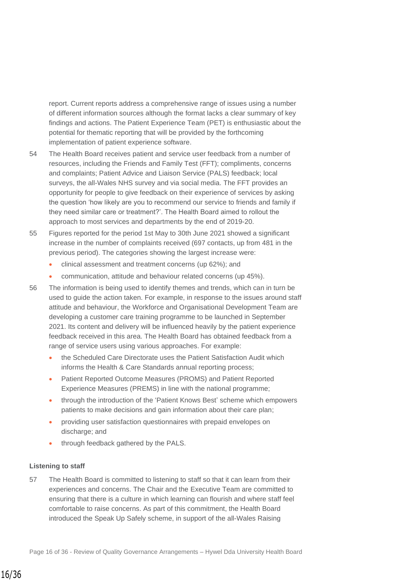report. Current reports address a comprehensive range of issues using a number of different information sources although the format lacks a clear summary of key findings and actions. The Patient Experience Team (PET) is enthusiastic about the potential for thematic reporting that will be provided by the forthcoming implementation of patient experience software.

- 54 The Health Board receives patient and service user feedback from a number of resources, including the Friends and Family Test (FFT); compliments, concerns and complaints; Patient Advice and Liaison Service (PALS) feedback; local surveys, the all-Wales NHS survey and via social media. The FFT provides an opportunity for people to give feedback on their experience of services by asking the question 'how likely are you to recommend our service to friends and family if they need similar care or treatment?'. The Health Board aimed to rollout the approach to most services and departments by the end of 2019-20.
- 55 Figures reported for the period 1st May to 30th June 2021 showed a significant increase in the number of complaints received (697 contacts, up from 481 in the previous period). The categories showing the largest increase were:
	- clinical assessment and treatment concerns (up 62%); and
	- communication, attitude and behaviour related concerns (up 45%).
- 56 The information is being used to identify themes and trends, which can in turn be used to guide the action taken. For example, in response to the issues around staff attitude and behaviour, the Workforce and Organisational Development Team are developing a customer care training programme to be launched in September 2021. Its content and delivery will be influenced heavily by the patient experience feedback received in this area. The Health Board has obtained feedback from a range of service users using various approaches. For example:
	- the Scheduled Care Directorate uses the Patient Satisfaction Audit which informs the Health & Care Standards annual reporting process;
	- Patient Reported Outcome Measures (PROMS) and Patient Reported Experience Measures (PREMS) in line with the national programme;
	- through the introduction of the 'Patient Knows Best' scheme which empowers patients to make decisions and gain information about their care plan;
	- providing user satisfaction questionnaires with prepaid envelopes on discharge; and
	- through feedback gathered by the PALS.

#### **Listening to staff**

57 The Health Board is committed to listening to staff so that it can learn from their experiences and concerns. The Chair and the Executive Team are committed to ensuring that there is a culture in which learning can flourish and where staff feel comfortable to raise concerns. As part of this commitment, the Health Board introduced the Speak Up Safely scheme, in support of the all-Wales Raising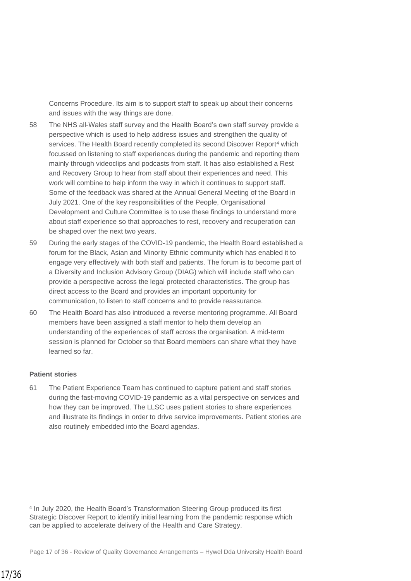Concerns Procedure. Its aim is to support staff to speak up about their concerns and issues with the way things are done.

- 58 The NHS all-Wales staff survey and the Health Board's own staff survey provide a perspective which is used to help address issues and strengthen the quality of services. The Health Board recently completed its second Discover Report<sup>4</sup> which focussed on listening to staff experiences during the pandemic and reporting them mainly through videoclips and podcasts from staff. It has also established a Rest and Recovery Group to hear from staff about their experiences and need. This work will combine to help inform the way in which it continues to support staff. Some of the feedback was shared at the Annual General Meeting of the Board in July 2021. One of the key responsibilities of the People, Organisational Development and Culture Committee is to use these findings to understand more about staff experience so that approaches to rest, recovery and recuperation can be shaped over the next two years.
- 59 During the early stages of the COVID-19 pandemic, the Health Board established a forum for the Black, Asian and Minority Ethnic community which has enabled it to engage very effectively with both staff and patients. The forum is to become part of a Diversity and Inclusion Advisory Group (DIAG) which will include staff who can provide a perspective across the legal protected characteristics. The group has direct access to the Board and provides an important opportunity for communication, to listen to staff concerns and to provide reassurance.
- 60 The Health Board has also introduced a reverse mentoring programme. All Board members have been assigned a staff mentor to help them develop an understanding of the experiences of staff across the organisation. A mid-term session is planned for October so that Board members can share what they have learned so far.

#### **Patient stories**

61 The Patient Experience Team has continued to capture patient and staff stories during the fast-moving COVID-19 pandemic as a vital perspective on services and how they can be improved. The LLSC uses patient stories to share experiences and illustrate its findings in order to drive service improvements. Patient stories are also routinely embedded into the Board agendas.

4 In July 2020, the Health Board's Transformation Steering Group produced its first Strategic Discover Report to identify initial learning from the pandemic response which can be applied to accelerate delivery of the Health and Care Strategy.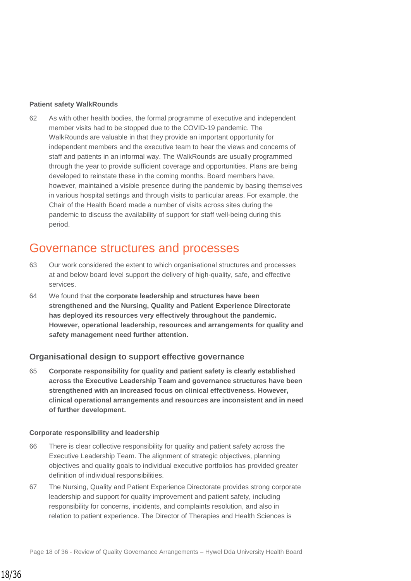#### **Patient safety WalkRounds**

62 As with other health bodies, the formal programme of executive and independent member visits had to be stopped due to the COVID-19 pandemic. The WalkRounds are valuable in that they provide an important opportunity for independent members and the executive team to hear the views and concerns of staff and patients in an informal way. The WalkRounds are usually programmed through the year to provide sufficient coverage and opportunities. Plans are being developed to reinstate these in the coming months. Board members have, however, maintained a visible presence during the pandemic by basing themselves in various hospital settings and through visits to particular areas. For example, the Chair of the Health Board made a number of visits across sites during the pandemic to discuss the availability of support for staff well-being during this period.

### Governance structures and processes

- 63 Our work considered the extent to which organisational structures and processes at and below board level support the delivery of high-quality, safe, and effective services.
- 64 We found that **the corporate leadership and structures have been strengthened and the Nursing, Quality and Patient Experience Directorate has deployed its resources very effectively throughout the pandemic. However, operational leadership, resources and arrangements for quality and safety management need further attention.**

#### **Organisational design to support effective governance**

65 **Corporate responsibility for quality and patient safety is clearly established across the Executive Leadership Team and governance structures have been strengthened with an increased focus on clinical effectiveness. However, clinical operational arrangements and resources are inconsistent and in need of further development.**

#### **Corporate responsibility and leadership**

- 66 There is clear collective responsibility for quality and patient safety across the Executive Leadership Team. The alignment of strategic objectives, planning objectives and quality goals to individual executive portfolios has provided greater definition of individual responsibilities.
- 67 The Nursing, Quality and Patient Experience Directorate provides strong corporate leadership and support for quality improvement and patient safety, including responsibility for concerns, incidents, and complaints resolution, and also in relation to patient experience. The Director of Therapies and Health Sciences is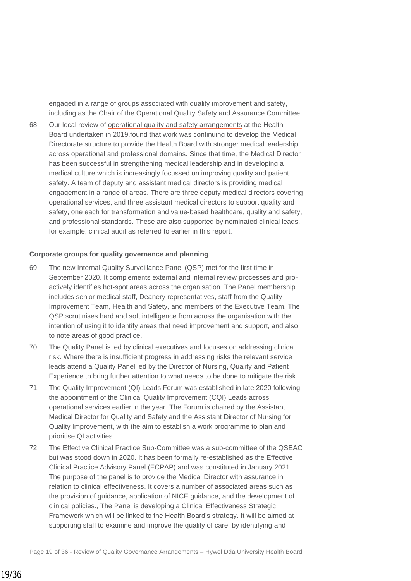engaged in a range of groups associated with quality improvement and safety, including as the Chair of the Operational Quality Safety and Assurance Committee.

68 Our local review of [operational quality and safety arrangements](https://www.audit.wales/publication/hywel-dda-university-health-board-review-operational-quality-and-safety-arrangements) at the Health Board undertaken in 2019.found that work was continuing to develop the Medical Directorate structure to provide the Health Board with stronger medical leadership across operational and professional domains. Since that time, the Medical Director has been successful in strengthening medical leadership and in developing a medical culture which is increasingly focussed on improving quality and patient safety. A team of deputy and assistant medical directors is providing medical engagement in a range of areas. There are three deputy medical directors covering operational services, and three assistant medical directors to support quality and safety, one each for transformation and value-based healthcare, quality and safety, and professional standards. These are also supported by nominated clinical leads, for example, clinical audit as referred to earlier in this report.

#### **Corporate groups for quality governance and planning**

- 69 The new Internal Quality Surveillance Panel (QSP) met for the first time in September 2020. It complements external and internal review processes and proactively identifies hot-spot areas across the organisation. The Panel membership includes senior medical staff, Deanery representatives, staff from the Quality Improvement Team, Health and Safety, and members of the Executive Team. The QSP scrutinises hard and soft intelligence from across the organisation with the intention of using it to identify areas that need improvement and support, and also to note areas of good practice.
- 70 The Quality Panel is led by clinical executives and focuses on addressing clinical risk. Where there is insufficient progress in addressing risks the relevant service leads attend a Quality Panel led by the Director of Nursing, Quality and Patient Experience to bring further attention to what needs to be done to mitigate the risk.
- 71 The Quality Improvement (QI) Leads Forum was established in late 2020 following the appointment of the Clinical Quality Improvement (CQI) Leads across operational services earlier in the year. The Forum is chaired by the Assistant Medical Director for Quality and Safety and the Assistant Director of Nursing for Quality Improvement, with the aim to establish a work programme to plan and prioritise QI activities.
- 72 The Effective Clinical Practice Sub-Committee was a sub-committee of the QSEAC but was stood down in 2020. It has been formally re-established as the Effective Clinical Practice Advisory Panel (ECPAP) and was constituted in January 2021. The purpose of the panel is to provide the Medical Director with assurance in relation to clinical effectiveness. It covers a number of associated areas such as the provision of guidance, application of NICE guidance, and the development of clinical policies., The Panel is developing a Clinical Effectiveness Strategic Framework which will be linked to the Health Board's strategy. It will be aimed at supporting staff to examine and improve the quality of care, by identifying and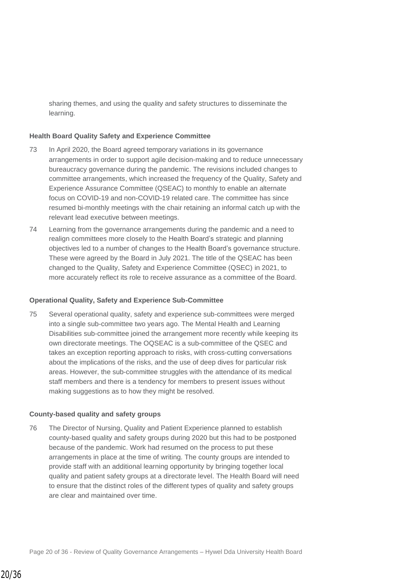sharing themes, and using the quality and safety structures to disseminate the learning.

#### **Health Board Quality Safety and Experience Committee**

- 73 In April 2020, the Board agreed temporary variations in its governance arrangements in order to support agile decision-making and to reduce unnecessary bureaucracy governance during the pandemic. The revisions included changes to committee arrangements, which increased the frequency of the Quality, Safety and Experience Assurance Committee (QSEAC) to monthly to enable an alternate focus on COVID-19 and non-COVID-19 related care. The committee has since resumed bi-monthly meetings with the chair retaining an informal catch up with the relevant lead executive between meetings.
- 74 Learning from the governance arrangements during the pandemic and a need to realign committees more closely to the Health Board's strategic and planning objectives led to a number of changes to the Health Board's governance structure. These were agreed by the Board in July 2021. The title of the QSEAC has been changed to the Quality, Safety and Experience Committee (QSEC) in 2021, to more accurately reflect its role to receive assurance as a committee of the Board.

#### **Operational Quality, Safety and Experience Sub-Committee**

75 Several operational quality, safety and experience sub-committees were merged into a single sub-committee two years ago. The Mental Health and Learning Disabilities sub-committee joined the arrangement more recently while keeping its own directorate meetings. The OQSEAC is a sub-committee of the QSEC and takes an exception reporting approach to risks, with cross-cutting conversations about the implications of the risks, and the use of deep dives for particular risk areas. However, the sub-committee struggles with the attendance of its medical staff members and there is a tendency for members to present issues without making suggestions as to how they might be resolved.

#### **County-based quality and safety groups**

76 The Director of Nursing, Quality and Patient Experience planned to establish county-based quality and safety groups during 2020 but this had to be postponed because of the pandemic. Work had resumed on the process to put these arrangements in place at the time of writing. The county groups are intended to provide staff with an additional learning opportunity by bringing together local quality and patient safety groups at a directorate level. The Health Board will need to ensure that the distinct roles of the different types of quality and safety groups are clear and maintained over time.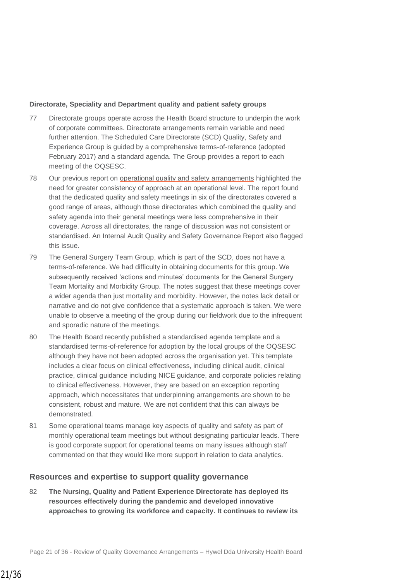#### **Directorate, Speciality and Department quality and patient safety groups**

- 77 Directorate groups operate across the Health Board structure to underpin the work of corporate committees. Directorate arrangements remain variable and need further attention. The Scheduled Care Directorate (SCD) Quality, Safety and Experience Group is guided by a comprehensive terms-of-reference (adopted February 2017) and a standard agenda. The Group provides a report to each meeting of the OQSESC.
- 78 Our previous report on [operational quality and safety arrangements](https://www.audit.wales/publication/hywel-dda-university-health-board-review-operational-quality-and-safety-arrangements) highlighted the need for greater consistency of approach at an operational level. The report found that the dedicated quality and safety meetings in six of the directorates covered a good range of areas, although those directorates which combined the quality and safety agenda into their general meetings were less comprehensive in their coverage. Across all directorates, the range of discussion was not consistent or standardised. An Internal Audit Quality and Safety Governance Report also flagged this issue.
- 79 The General Surgery Team Group, which is part of the SCD, does not have a terms-of-reference. We had difficulty in obtaining documents for this group. We subsequently received 'actions and minutes' documents for the General Surgery Team Mortality and Morbidity Group. The notes suggest that these meetings cover a wider agenda than just mortality and morbidity. However, the notes lack detail or narrative and do not give confidence that a systematic approach is taken. We were unable to observe a meeting of the group during our fieldwork due to the infrequent and sporadic nature of the meetings.
- 80 The Health Board recently published a standardised agenda template and a standardised terms-of-reference for adoption by the local groups of the OQSESC although they have not been adopted across the organisation yet. This template includes a clear focus on clinical effectiveness, including clinical audit, clinical practice, clinical guidance including NICE guidance, and corporate policies relating to clinical effectiveness. However, they are based on an exception reporting approach, which necessitates that underpinning arrangements are shown to be consistent, robust and mature. We are not confident that this can always be demonstrated.
- 81 Some operational teams manage key aspects of quality and safety as part of monthly operational team meetings but without designating particular leads. There is good corporate support for operational teams on many issues although staff commented on that they would like more support in relation to data analytics.

#### **Resources and expertise to support quality governance**

82 **The Nursing, Quality and Patient Experience Directorate has deployed its resources effectively during the pandemic and developed innovative approaches to growing its workforce and capacity. It continues to review its**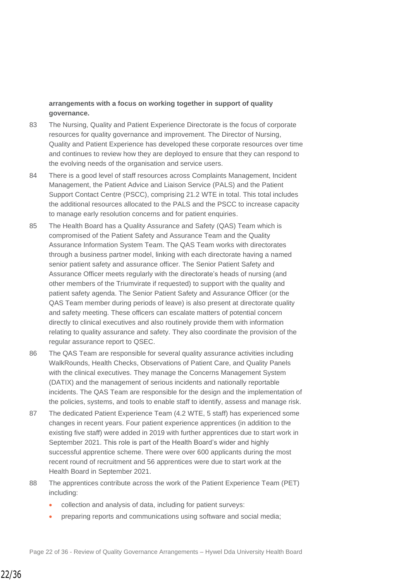#### **arrangements with a focus on working together in support of quality governance.**

- 83 The Nursing, Quality and Patient Experience Directorate is the focus of corporate resources for quality governance and improvement. The Director of Nursing, Quality and Patient Experience has developed these corporate resources over time and continues to review how they are deployed to ensure that they can respond to the evolving needs of the organisation and service users.
- 84 There is a good level of staff resources across Complaints Management, Incident Management, the Patient Advice and Liaison Service (PALS) and the Patient Support Contact Centre (PSCC), comprising 21.2 WTE in total. This total includes the additional resources allocated to the PALS and the PSCC to increase capacity to manage early resolution concerns and for patient enquiries.
- 85 The Health Board has a Quality Assurance and Safety (QAS) Team which is compromised of the Patient Safety and Assurance Team and the Quality Assurance Information System Team. The QAS Team works with directorates through a business partner model, linking with each directorate having a named senior patient safety and assurance officer. The Senior Patient Safety and Assurance Officer meets regularly with the directorate's heads of nursing (and other members of the Triumvirate if requested) to support with the quality and patient safety agenda. The Senior Patient Safety and Assurance Officer (or the QAS Team member during periods of leave) is also present at directorate quality and safety meeting. These officers can escalate matters of potential concern directly to clinical executives and also routinely provide them with information relating to quality assurance and safety. They also coordinate the provision of the regular assurance report to QSEC.
- 86 The QAS Team are responsible for several quality assurance activities including WalkRounds, Health Checks, Observations of Patient Care, and Quality Panels with the clinical executives. They manage the Concerns Management System (DATIX) and the management of serious incidents and nationally reportable incidents. The QAS Team are responsible for the design and the implementation of the policies, systems, and tools to enable staff to identify, assess and manage risk.
- 87 The dedicated Patient Experience Team (4.2 WTE, 5 staff) has experienced some changes in recent years. Four patient experience apprentices (in addition to the existing five staff) were added in 2019 with further apprentices due to start work in September 2021. This role is part of the Health Board's wider and highly successful apprentice scheme. There were over 600 applicants during the most recent round of recruitment and 56 apprentices were due to start work at the Health Board in September 2021.
- 88 The apprentices contribute across the work of the Patient Experience Team (PET) including:
	- collection and analysis of data, including for patient surveys:
	- preparing reports and communications using software and social media;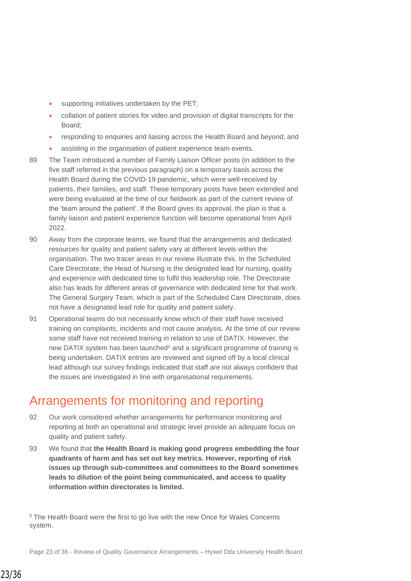- supporting initiatives undertaken by the PET;
- collation of patient stories for video and provision of digital transcripts for the Board;
- responding to enquiries and liaising across the Health Board and beyond; and
- assisting in the organisation of patient experience team events.
- 89 The Team introduced a number of Family Liaison Officer posts (in addition to the five staff referred in the previous paragraph) on a temporary basis across the Health Board during the COVID-19 pandemic, which were well-received by patients, their families, and staff. These temporary posts have been extended and were being evaluated at the time of our fieldwork as part of the current review of the 'team around the patient'. If the Board gives its approval, the plan is that a family liaison and patient experience function will become operational from April 2022.
- 90 Away from the corporate teams, we found that the arrangements and dedicated resources for quality and patient safety vary at different levels within the organisation. The two tracer areas in our review illustrate this. In the Scheduled Care Directorate, the Head of Nursing is the designated lead for nursing, quality and experience with dedicated time to fulfil this leadership role. The Directorate also has leads for different areas of governance with dedicated time for that work. The General Surgery Team, which is part of the Scheduled Care Directorate, does not have a designated lead role for quality and patient safety.
- 91 Operational teams do not necessarily know which of their staff have received training on complaints, incidents and root cause analysis. At the time of our review some staff have not received training in relation to use of DATIX. However, the new DATIX system has been launched<sup>5</sup> and a significant programme of training is being undertaken. DATIX entries are reviewed and signed off by a local clinical lead although our survey findings indicated that staff are not always confident that the issues are investigated in line with organisational requirements.

### Arrangements for monitoring and reporting

- 92 Our work considered whether arrangements for performance monitoring and reporting at both an operational and strategic level provide an adequate focus on quality and patient safety.
- 93 We found that **the Health Board is making good progress embedding the four quadrants of harm and has set out key metrics. However, reporting of risk issues up through sub-committees and committees to the Board sometimes leads to dilution of the point being communicated, and access to quality information within directorates is limited.**

<sup>5</sup> The Health Board were the first to go live with the new Once for Wales Concerns system.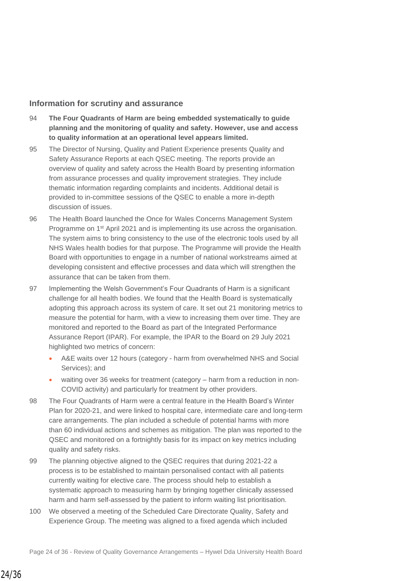#### **Information for scrutiny and assurance**

- 94 **The Four Quadrants of Harm are being embedded systematically to guide planning and the monitoring of quality and safety. However, use and access to quality information at an operational level appears limited.**
- 95 The Director of Nursing, Quality and Patient Experience presents Quality and Safety Assurance Reports at each QSEC meeting. The reports provide an overview of quality and safety across the Health Board by presenting information from assurance processes and quality improvement strategies. They include thematic information regarding complaints and incidents. Additional detail is provided to in-committee sessions of the QSEC to enable a more in-depth discussion of issues.
- 96 The Health Board launched the Once for Wales Concerns Management System Programme on 1<sup>st</sup> April 2021 and is implementing its use across the organisation. The system aims to bring consistency to the use of the electronic tools used by all NHS Wales health bodies for that purpose. The Programme will provide the Health Board with opportunities to engage in a number of national workstreams aimed at developing consistent and effective processes and data which will strengthen the assurance that can be taken from them.
- 97 Implementing the Welsh Government's Four Quadrants of Harm is a significant challenge for all health bodies. We found that the Health Board is systematically adopting this approach across its system of care. It set out 21 monitoring metrics to measure the potential for harm, with a view to increasing them over time. They are monitored and reported to the Board as part of the Integrated Performance Assurance Report (IPAR). For example, the IPAR to the Board on 29 July 2021 highlighted two metrics of concern:
	- A&E waits over 12 hours (category harm from overwhelmed NHS and Social Services); and
	- waiting over 36 weeks for treatment (category harm from a reduction in non-COVID activity) and particularly for treatment by other providers.
- 98 The Four Quadrants of Harm were a central feature in the Health Board's Winter Plan for 2020-21, and were linked to hospital care, intermediate care and long-term care arrangements. The plan included a schedule of potential harms with more than 60 individual actions and schemes as mitigation. The plan was reported to the QSEC and monitored on a fortnightly basis for its impact on key metrics including quality and safety risks.
- 99 The planning objective aligned to the QSEC requires that during 2021-22 a process is to be established to maintain personalised contact with all patients currently waiting for elective care. The process should help to establish a systematic approach to measuring harm by bringing together clinically assessed harm and harm self-assessed by the patient to inform waiting list prioritisation.
- 100 We observed a meeting of the Scheduled Care Directorate Quality, Safety and Experience Group. The meeting was aligned to a fixed agenda which included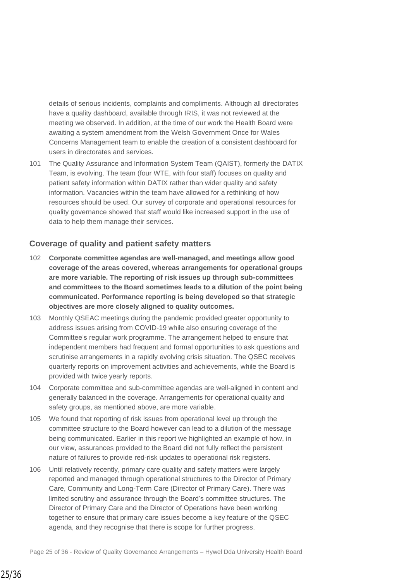details of serious incidents, complaints and compliments. Although all directorates have a quality dashboard, available through IRIS, it was not reviewed at the meeting we observed. In addition, at the time of our work the Health Board were awaiting a system amendment from the Welsh Government Once for Wales Concerns Management team to enable the creation of a consistent dashboard for users in directorates and services.

101 The Quality Assurance and Information System Team (QAIST), formerly the DATIX Team, is evolving. The team (four WTE, with four staff) focuses on quality and patient safety information within DATIX rather than wider quality and safety information. Vacancies within the team have allowed for a rethinking of how resources should be used. Our survey of corporate and operational resources for quality governance showed that staff would like increased support in the use of data to help them manage their services.

#### **Coverage of quality and patient safety matters**

- 102 **Corporate committee agendas are well-managed, and meetings allow good coverage of the areas covered, whereas arrangements for operational groups are more variable. The reporting of risk issues up through sub-committees and committees to the Board sometimes leads to a dilution of the point being communicated. Performance reporting is being developed so that strategic objectives are more closely aligned to quality outcomes.**
- 103 Monthly QSEAC meetings during the pandemic provided greater opportunity to address issues arising from COVID-19 while also ensuring coverage of the Committee's regular work programme. The arrangement helped to ensure that independent members had frequent and formal opportunities to ask questions and scrutinise arrangements in a rapidly evolving crisis situation. The QSEC receives quarterly reports on improvement activities and achievements, while the Board is provided with twice yearly reports.
- 104 Corporate committee and sub-committee agendas are well-aligned in content and generally balanced in the coverage. Arrangements for operational quality and safety groups, as mentioned above, are more variable.
- 105 We found that reporting of risk issues from operational level up through the committee structure to the Board however can lead to a dilution of the message being communicated. Earlier in this report we highlighted an example of how, in our view, assurances provided to the Board did not fully reflect the persistent nature of failures to provide red-risk updates to operational risk registers.
- 106 Until relatively recently, primary care quality and safety matters were largely reported and managed through operational structures to the Director of Primary Care, Community and Long-Term Care (Director of Primary Care). There was limited scrutiny and assurance through the Board's committee structures. The Director of Primary Care and the Director of Operations have been working together to ensure that primary care issues become a key feature of the QSEC agenda, and they recognise that there is scope for further progress.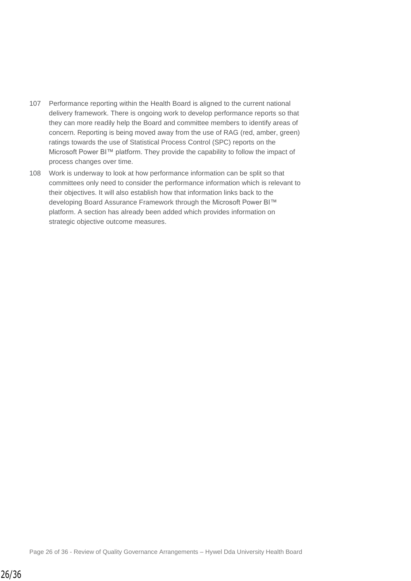- 107 Performance reporting within the Health Board is aligned to the current national delivery framework. There is ongoing work to develop performance reports so that they can more readily help the Board and committee members to identify areas of concern. Reporting is being moved away from the use of RAG (red, amber, green) ratings towards the use of Statistical Process Control (SPC) reports on the Microsoft Power BI™ platform. They provide the capability to follow the impact of process changes over time.
- 108 Work is underway to look at how performance information can be split so that committees only need to consider the performance information which is relevant to their objectives. It will also establish how that information links back to the developing Board Assurance Framework through the Microsoft Power BI™ platform. A section has already been added which provides information on strategic objective outcome measures.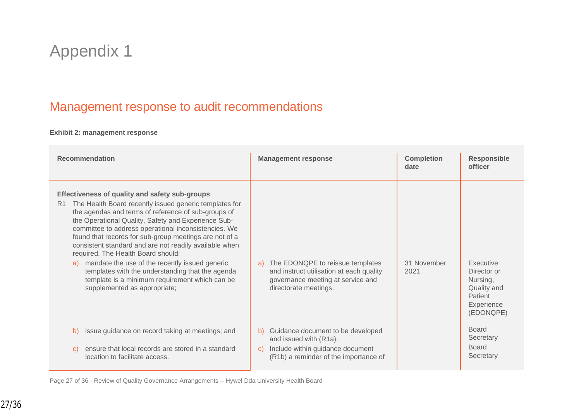## Appendix 1

### Management response to audit recommendations

#### **Exhibit 2: management response**

| <b>Recommendation</b>                                                                                                                                                                                                                                                                                                                                                                                                                                                                                                                                                                                                                                    | <b>Management response</b>                                                                                                                       | <b>Completion</b><br>date | <b>Responsible</b><br>officer                                                             |
|----------------------------------------------------------------------------------------------------------------------------------------------------------------------------------------------------------------------------------------------------------------------------------------------------------------------------------------------------------------------------------------------------------------------------------------------------------------------------------------------------------------------------------------------------------------------------------------------------------------------------------------------------------|--------------------------------------------------------------------------------------------------------------------------------------------------|---------------------------|-------------------------------------------------------------------------------------------|
| Effectiveness of quality and safety sub-groups<br>The Health Board recently issued generic templates for<br>R <sub>1</sub><br>the agendas and terms of reference of sub-groups of<br>the Operational Quality, Safety and Experience Sub-<br>committee to address operational inconsistencies. We<br>found that records for sub-group meetings are not of a<br>consistent standard and are not readily available when<br>required. The Health Board should:<br>mandate the use of the recently issued generic<br>a)<br>templates with the understanding that the agenda<br>template is a minimum requirement which can be<br>supplemented as appropriate; | The EDONQPE to reissue templates<br>a)<br>and instruct utilisation at each quality<br>governance meeting at service and<br>directorate meetings. | 31 November<br>2021       | Executive<br>Director or<br>Nursing,<br>Quality and<br>Patient<br>Experience<br>(EDONQPE) |
| issue guidance on record taking at meetings; and<br>b)<br>ensure that local records are stored in a standard<br>C)                                                                                                                                                                                                                                                                                                                                                                                                                                                                                                                                       | Guidance document to be developed<br>b)<br>and issued with (R1a).<br>Include within guidance document<br>C)                                      |                           | <b>Board</b><br>Secretary<br><b>Board</b>                                                 |
| location to facilitate access.                                                                                                                                                                                                                                                                                                                                                                                                                                                                                                                                                                                                                           | (R1b) a reminder of the importance of                                                                                                            |                           | Secretary                                                                                 |

Page 27 of 36 - Review of Quality Governance Arrangements – Hywel Dda University Health Board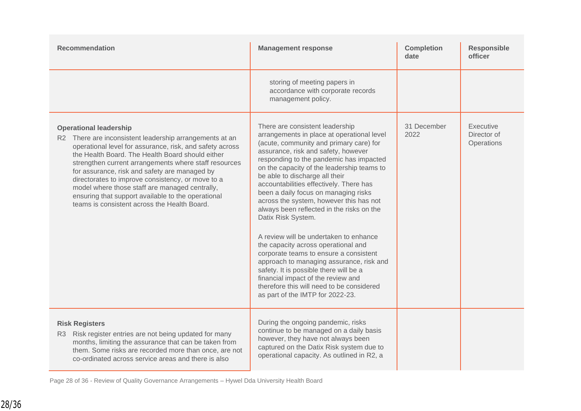| <b>Recommendation</b>                                                                                                                                                                                                                                                                                                                                                                                                                                                                                                           | <b>Management response</b>                                                                                                                                                                                                                                                                                                                                                                                                                                                                                                                                                                                                                                                                                                                                                                                                          | <b>Completion</b><br>date | <b>Responsible</b><br>officer          |
|---------------------------------------------------------------------------------------------------------------------------------------------------------------------------------------------------------------------------------------------------------------------------------------------------------------------------------------------------------------------------------------------------------------------------------------------------------------------------------------------------------------------------------|-------------------------------------------------------------------------------------------------------------------------------------------------------------------------------------------------------------------------------------------------------------------------------------------------------------------------------------------------------------------------------------------------------------------------------------------------------------------------------------------------------------------------------------------------------------------------------------------------------------------------------------------------------------------------------------------------------------------------------------------------------------------------------------------------------------------------------------|---------------------------|----------------------------------------|
|                                                                                                                                                                                                                                                                                                                                                                                                                                                                                                                                 | storing of meeting papers in<br>accordance with corporate records<br>management policy.                                                                                                                                                                                                                                                                                                                                                                                                                                                                                                                                                                                                                                                                                                                                             |                           |                                        |
| <b>Operational leadership</b><br>R2 There are inconsistent leadership arrangements at an<br>operational level for assurance, risk, and safety across<br>the Health Board. The Health Board should either<br>strengthen current arrangements where staff resources<br>for assurance, risk and safety are managed by<br>directorates to improve consistency, or move to a<br>model where those staff are managed centrally,<br>ensuring that support available to the operational<br>teams is consistent across the Health Board. | There are consistent leadership<br>arrangements in place at operational level<br>(acute, community and primary care) for<br>assurance, risk and safety, however<br>responding to the pandemic has impacted<br>on the capacity of the leadership teams to<br>be able to discharge all their<br>accountabilities effectively. There has<br>been a daily focus on managing risks<br>across the system, however this has not<br>always been reflected in the risks on the<br>Datix Risk System.<br>A review will be undertaken to enhance<br>the capacity across operational and<br>corporate teams to ensure a consistent<br>approach to managing assurance, risk and<br>safety. It is possible there will be a<br>financial impact of the review and<br>therefore this will need to be considered<br>as part of the IMTP for 2022-23. | 31 December<br>2022       | Executive<br>Director of<br>Operations |
| <b>Risk Registers</b><br>R3 Risk register entries are not being updated for many<br>months, limiting the assurance that can be taken from<br>them. Some risks are recorded more than once, are not<br>co-ordinated across service areas and there is also                                                                                                                                                                                                                                                                       | During the ongoing pandemic, risks<br>continue to be managed on a daily basis<br>however, they have not always been<br>captured on the Datix Risk system due to<br>operational capacity. As outlined in R2, a                                                                                                                                                                                                                                                                                                                                                                                                                                                                                                                                                                                                                       |                           |                                        |

Page 28 of 36 - Review of Quality Governance Arrangements – Hywel Dda University Health Board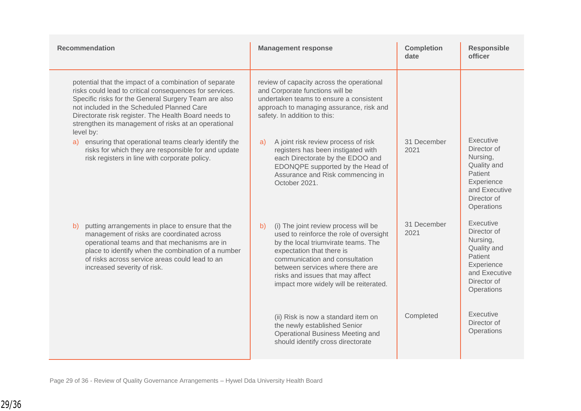| <b>Recommendation</b>                                                                                                                                                                                                                                                                                                                                | <b>Management response</b>                                                                                                                                                                                                                                                                                    | <b>Completion</b><br>date | <b>Responsible</b><br>officer                                                                                              |
|------------------------------------------------------------------------------------------------------------------------------------------------------------------------------------------------------------------------------------------------------------------------------------------------------------------------------------------------------|---------------------------------------------------------------------------------------------------------------------------------------------------------------------------------------------------------------------------------------------------------------------------------------------------------------|---------------------------|----------------------------------------------------------------------------------------------------------------------------|
| potential that the impact of a combination of separate<br>risks could lead to critical consequences for services.<br>Specific risks for the General Surgery Team are also<br>not included in the Scheduled Planned Care<br>Directorate risk register. The Health Board needs to<br>strengthen its management of risks at an operational<br>level by: | review of capacity across the operational<br>and Corporate functions will be<br>undertaken teams to ensure a consistent<br>approach to managing assurance, risk and<br>safety. In addition to this:                                                                                                           |                           |                                                                                                                            |
| a) ensuring that operational teams clearly identify the<br>risks for which they are responsible for and update<br>risk registers in line with corporate policy.                                                                                                                                                                                      | A joint risk review process of risk<br>a)<br>registers has been instigated with<br>each Directorate by the EDOO and<br>EDONQPE supported by the Head of<br>Assurance and Risk commencing in<br>October 2021.                                                                                                  | 31 December<br>2021       | Executive<br>Director of<br>Nursing,<br>Quality and<br>Patient<br>Experience<br>and Executive<br>Director of<br>Operations |
| putting arrangements in place to ensure that the<br>b)<br>management of risks are coordinated across<br>operational teams and that mechanisms are in<br>place to identify when the combination of a number<br>of risks across service areas could lead to an<br>increased severity of risk.                                                          | (i) The joint review process will be<br>b)<br>used to reinforce the role of oversight<br>by the local triumvirate teams. The<br>expectation that there is<br>communication and consultation<br>between services where there are<br>risks and issues that may affect<br>impact more widely will be reiterated. | 31 December<br>2021       | Executive<br>Director of<br>Nursing,<br>Quality and<br>Patient<br>Experience<br>and Executive<br>Director of<br>Operations |
|                                                                                                                                                                                                                                                                                                                                                      | (ii) Risk is now a standard item on<br>the newly established Senior<br>Operational Business Meeting and<br>should identify cross directorate                                                                                                                                                                  | Completed                 | Executive<br>Director of<br>Operations                                                                                     |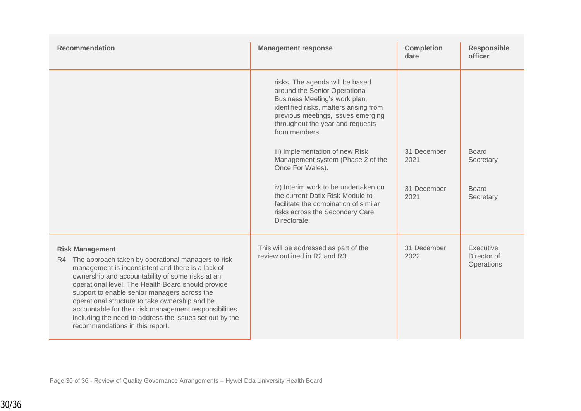| <b>Recommendation</b>                                                                                                                                                                                                                                                                                                                                                                                                                                                                                    | <b>Management response</b>                                                                                                                                                                                                             | <b>Completion</b><br>date | <b>Responsible</b><br>officer          |
|----------------------------------------------------------------------------------------------------------------------------------------------------------------------------------------------------------------------------------------------------------------------------------------------------------------------------------------------------------------------------------------------------------------------------------------------------------------------------------------------------------|----------------------------------------------------------------------------------------------------------------------------------------------------------------------------------------------------------------------------------------|---------------------------|----------------------------------------|
|                                                                                                                                                                                                                                                                                                                                                                                                                                                                                                          | risks. The agenda will be based<br>around the Senior Operational<br>Business Meeting's work plan,<br>identified risks, matters arising from<br>previous meetings, issues emerging<br>throughout the year and requests<br>from members. |                           |                                        |
|                                                                                                                                                                                                                                                                                                                                                                                                                                                                                                          | iii) Implementation of new Risk<br>Management system (Phase 2 of the<br>Once For Wales).                                                                                                                                               | 31 December<br>2021       | <b>Board</b><br>Secretary              |
|                                                                                                                                                                                                                                                                                                                                                                                                                                                                                                          | iv) Interim work to be undertaken on<br>the current Datix Risk Module to<br>facilitate the combination of similar<br>risks across the Secondary Care<br>Directorate.                                                                   | 31 December<br>2021       | <b>Board</b><br>Secretary              |
| <b>Risk Management</b><br>R4 The approach taken by operational managers to risk<br>management is inconsistent and there is a lack of<br>ownership and accountability of some risks at an<br>operational level. The Health Board should provide<br>support to enable senior managers across the<br>operational structure to take ownership and be<br>accountable for their risk management responsibilities<br>including the need to address the issues set out by the<br>recommendations in this report. | This will be addressed as part of the<br>review outlined in R2 and R3.                                                                                                                                                                 | 31 December<br>2022       | Executive<br>Director of<br>Operations |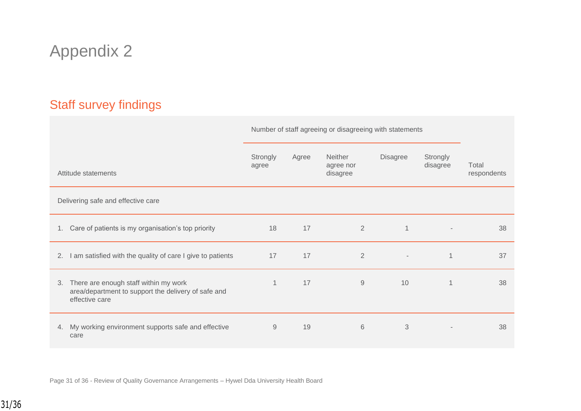# Appendix 2

### Staff survey findings

|                                                                                                                   | Number of staff agreeing or disagreeing with statements |       |                                         |                |                          |                      |
|-------------------------------------------------------------------------------------------------------------------|---------------------------------------------------------|-------|-----------------------------------------|----------------|--------------------------|----------------------|
| Attitude statements                                                                                               | Strongly<br>agree                                       | Agree | <b>Neither</b><br>agree nor<br>disagree | Disagree       | Strongly<br>disagree     | Total<br>respondents |
| Delivering safe and effective care                                                                                |                                                         |       |                                         |                |                          |                      |
| 1. Care of patients is my organisation's top priority                                                             | 18                                                      | 17    | $\overline{2}$                          | $\mathbf{1}$   | $\overline{\phantom{a}}$ | 38                   |
| I am satisfied with the quality of care I give to patients<br>2.                                                  | 17                                                      | 17    | $\overline{2}$                          | $\blacksquare$ | $\mathbf 1$              | 37                   |
| 3. There are enough staff within my work<br>area/department to support the delivery of safe and<br>effective care | $\mathbf{1}$                                            | 17    | 9                                       | 10             | 1                        | 38                   |
| 4. My working environment supports safe and effective<br>care                                                     | $\hbox{9}$                                              | 19    | 6                                       | 3              |                          | 38                   |

Page 31 of 36 - Review of Quality Governance Arrangements – Hywel Dda University Health Board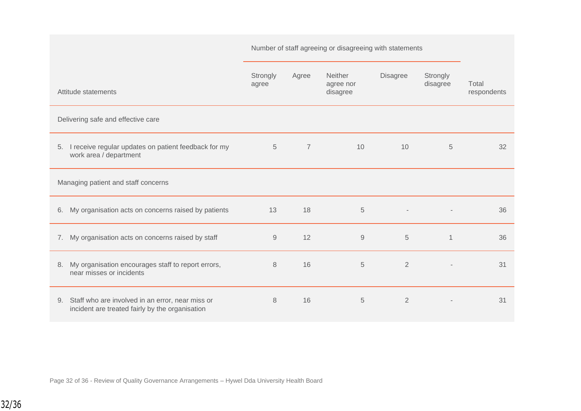|                                                                                                        |                   | Number of staff agreeing or disagreeing with statements |                                  |                 |                      |                      |
|--------------------------------------------------------------------------------------------------------|-------------------|---------------------------------------------------------|----------------------------------|-----------------|----------------------|----------------------|
| Attitude statements                                                                                    | Strongly<br>agree | Agree                                                   | Neither<br>agree nor<br>disagree | <b>Disagree</b> | Strongly<br>disagree | Total<br>respondents |
| Delivering safe and effective care                                                                     |                   |                                                         |                                  |                 |                      |                      |
| I receive regular updates on patient feedback for my<br>5.<br>work area / department                   | 5                 | $\overline{7}$                                          | 10                               | 10              | 5                    | 32                   |
| Managing patient and staff concerns                                                                    |                   |                                                         |                                  |                 |                      |                      |
| My organisation acts on concerns raised by patients<br>6.                                              | 13                | 18                                                      | $\sqrt{5}$                       |                 |                      | 36                   |
| 7. My organisation acts on concerns raised by staff                                                    | $\mathsf{9}$      | 12                                                      | $\hbox{9}$                       | 5               | $\mathbf 1$          | 36                   |
| My organisation encourages staff to report errors,<br>8.<br>near misses or incidents                   | 8                 | 16                                                      | 5                                | $\overline{2}$  |                      | 31                   |
| 9. Staff who are involved in an error, near miss or<br>incident are treated fairly by the organisation | 8                 | 16                                                      | 5                                | $\overline{2}$  |                      | 31                   |

Page 32 of 36 - Review of Quality Governance Arrangements – Hywel Dda University Health Board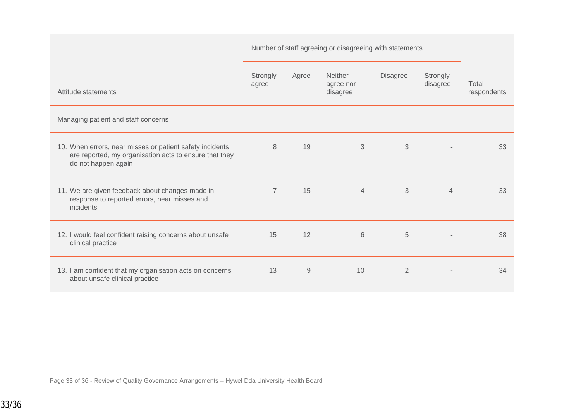|                                                                                                                                           | Number of staff agreeing or disagreeing with statements |       |                                         |                |                      |                      |
|-------------------------------------------------------------------------------------------------------------------------------------------|---------------------------------------------------------|-------|-----------------------------------------|----------------|----------------------|----------------------|
| Attitude statements                                                                                                                       | Strongly<br>agree                                       | Agree | <b>Neither</b><br>agree nor<br>disagree | Disagree       | Strongly<br>disagree | Total<br>respondents |
| Managing patient and staff concerns                                                                                                       |                                                         |       |                                         |                |                      |                      |
| 10. When errors, near misses or patient safety incidents<br>are reported, my organisation acts to ensure that they<br>do not happen again | 8                                                       | 19    | 3                                       | 3              |                      | 33                   |
| 11. We are given feedback about changes made in<br>response to reported errors, near misses and<br>incidents                              | $\overline{7}$                                          | 15    | $\overline{4}$                          | 3              | $\overline{4}$       | 33                   |
| 12. I would feel confident raising concerns about unsafe<br>clinical practice                                                             | 15                                                      | 12    | 6                                       | 5              |                      | 38                   |
| 13. I am confident that my organisation acts on concerns<br>about unsafe clinical practice                                                | 13                                                      | 9     | 10                                      | $\overline{2}$ |                      | 34                   |

Page 33 of 36 - Review of Quality Governance Arrangements – Hywel Dda University Health Board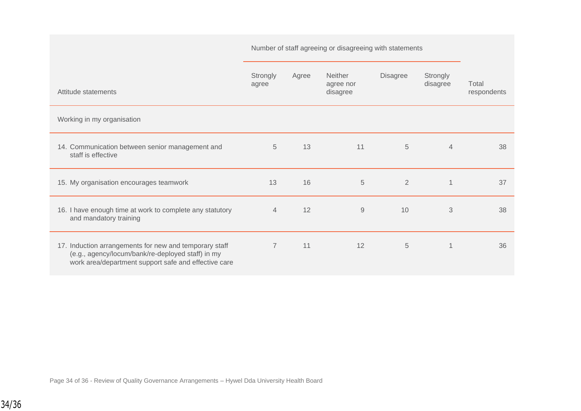|                                                                                                                                                                     | Number of staff agreeing or disagreeing with statements |       |                                         |                 |                      |                      |
|---------------------------------------------------------------------------------------------------------------------------------------------------------------------|---------------------------------------------------------|-------|-----------------------------------------|-----------------|----------------------|----------------------|
| Attitude statements                                                                                                                                                 | Strongly<br>agree                                       | Agree | <b>Neither</b><br>agree nor<br>disagree | <b>Disagree</b> | Strongly<br>disagree | Total<br>respondents |
| Working in my organisation                                                                                                                                          |                                                         |       |                                         |                 |                      |                      |
| 14. Communication between senior management and<br>staff is effective                                                                                               | 5                                                       | 13    | 11                                      | 5               | $\overline{4}$       | 38                   |
| 15. My organisation encourages teamwork                                                                                                                             | 13                                                      | 16    | 5                                       | $\overline{2}$  | $\overline{1}$       | 37                   |
| 16. I have enough time at work to complete any statutory<br>and mandatory training                                                                                  | $\overline{4}$                                          | 12    | 9                                       | 10              | 3                    | 38                   |
| 17. Induction arrangements for new and temporary staff<br>(e.g., agency/locum/bank/re-deployed staff) in my<br>work area/department support safe and effective care | $\overline{7}$                                          | 11    | 12                                      | $\sqrt{5}$      | 1                    | 36                   |